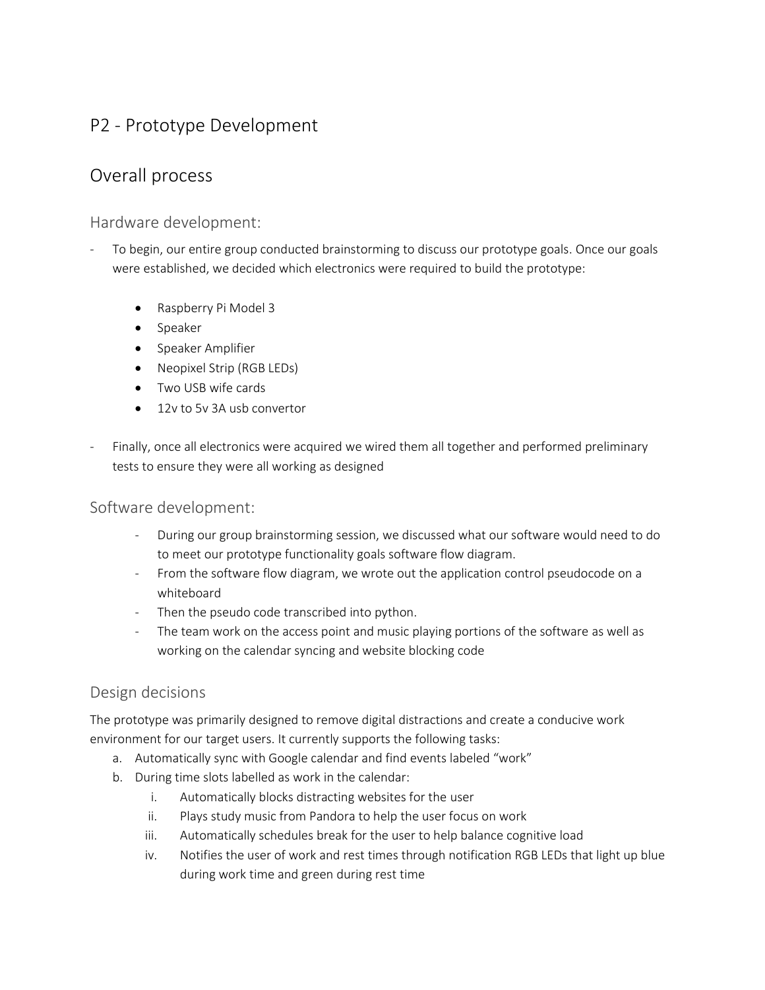# P2 - Prototype Development

# Overall process

## Hardware development:

- To begin, our entire group conducted brainstorming to discuss our prototype goals. Once our goals were established, we decided which electronics were required to build the prototype:
	- Raspberry Pi Model 3
	- [Speaker](https://www.amazon.com/DROK-Full-range-Loudspeaker-Portable-Motorcycle/dp/B010FLOFCC/ref=sr_1_3?ie=UTF8&qid=1490641680&sr=8-3&keywords=2%22+speaker)
	- [Speaker Amplifier](https://www.amazon.com/DROK-Amplifier-Dual-channel-Bookshelf-Speakers/dp/B010FAQQNY/ref=sr_1_2?s=electronics&ie=UTF8&qid=1490642142&sr=1-2-spons&keywords=stereo%2Bamplifier%2Bboard&th=1)
	- [Neopixel Strip \(RGB LEDs\)](https://www.amazon.com/NulSom-Rainbow-Stick-Arduino-Addressable/dp/B00PTEP14W/ref=sr_1_6?ie=UTF8&qid=1490642276&sr=8-6&keywords=neopixel+strip)
	- Two USB wife cards
	- [12v to 5v 3A usb convertor](https://www.amazon.com/Ailavi-Converter-6V-24V-Output-Module/dp/B00XPZ7I4I/ref=sr_1_18?ie=UTF8&qid=1490643112&sr=8-18&keywords=12v+to+usb)
- Finally, once all electronics were acquired we wired them all together and performed preliminary tests to ensure they were all working as designed

## Software development:

- During our group brainstorming session, we discussed what our software would need to do to meet our prototype functionality goals software flow diagram.
- From the software flow diagram, we wrote out the application control pseudocode on a whiteboard
- Then the pseudo code transcribed into python.
- The team work on the access point and music playing portions of the software as well as working on the calendar syncing and website blocking code

## Design decisions

The prototype was primarily designed to remove digital distractions and create a conducive work environment for our target users. It currently supports the following tasks:

- a. Automatically sync with Google calendar and find events labeled "work"
- b. During time slots labelled as work in the calendar:
	- i. Automatically blocks distracting websites for the user
	- ii. Plays study music from Pandora to help the user focus on work
	- iii. Automatically schedules break for the user to help balance cognitive load
	- iv. Notifies the user of work and rest times through notification RGB LEDs that light up blue during work time and green during rest time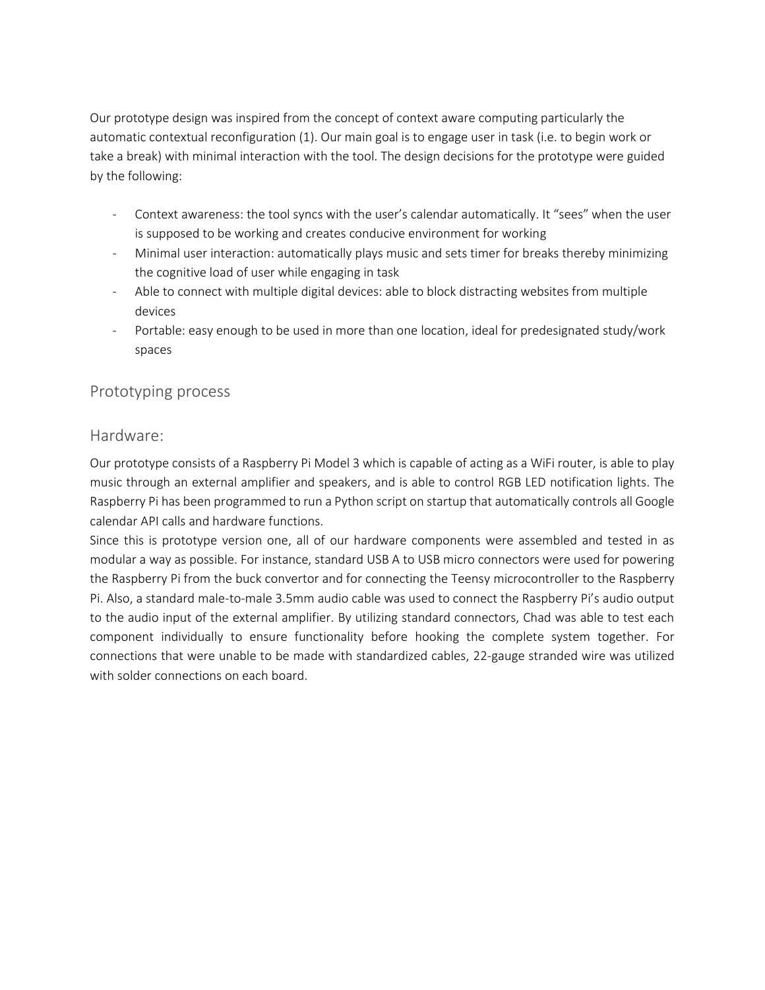Our prototype design was inspired from the concept of context aware computing particularly the automatic contextual reconfiguration (1). Our main goal is to engage user in task (i.e. to begin work or take a break) with minimal interaction with the tool. The design decisions for the prototype were guided by the following:

- Context awareness: the tool syncs with the user's calendar automatically. It "sees" when the user is supposed to be working and creates conducive environment for working
- Minimal user interaction: automatically plays music and sets timer for breaks thereby minimizing the cognitive load of user while engaging in task
- Able to connect with multiple digital devices: able to block distracting websites from multiple devices
- Portable: easy enough to be used in more than one location, ideal for predesignated study/work spaces

#### Prototyping process

#### Hardware:

Our prototype consists of a Raspberry Pi Model 3 which is capable of acting as a WiFi router, is able to play music through an external amplifier and speakers, and is able to control RGB LED notification lights. The Raspberry Pi has been programmed to run a Python script on startup that automatically controls all Google calendar API calls and hardware functions.

Since this is prototype version one, all of our hardware components were assembled and tested in as modular a way as possible. For instance, standard USB A to USB micro connectors were used for powering the Raspberry Pi from the buck convertor and for connecting the Teensy microcontroller to the Raspberry Pi. Also, a standard male-to-male 3.5mm audio cable was used to connect the Raspberry Pi's audio output to the audio input of the external amplifier. By utilizing standard connectors, Chad was able to test each component individually to ensure functionality before hooking the complete system together. For connections that were unable to be made with standardized cables, 22-gauge stranded wire was utilized with solder connections on each board.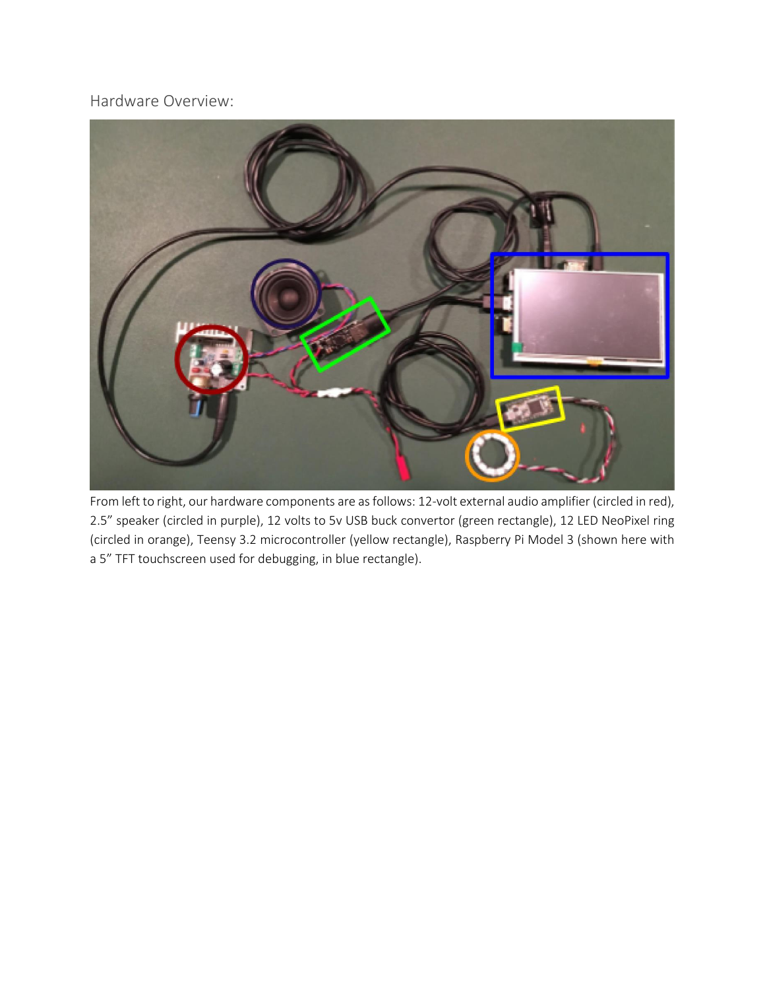Hardware Overview:



From left to right, our hardware components are as follows: 12-volt external audio amplifier (circled in red), 2.5" speaker (circled in purple), 12 volts to 5v USB buck convertor (green rectangle), 12 LED NeoPixel ring (circled in orange), Teensy 3.2 microcontroller (yellow rectangle), Raspberry Pi Model 3 (shown here with a 5" TFT touchscreen used for debugging, in blue rectangle).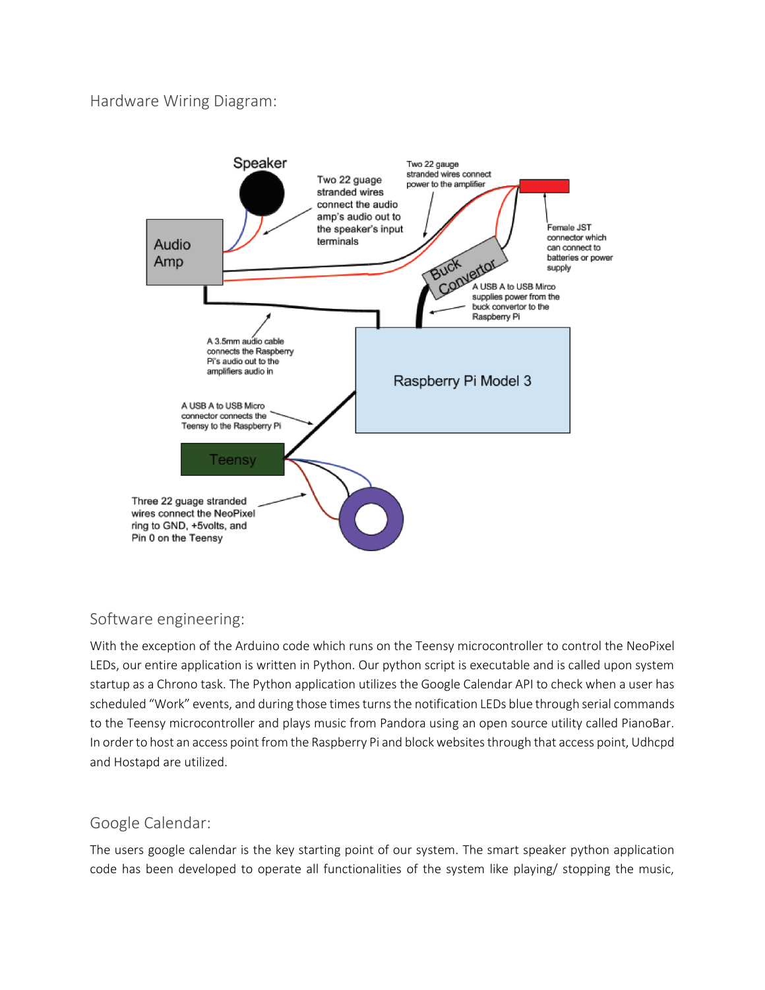## Hardware Wiring Diagram:



## Software engineering:

With the exception of the Arduino code which runs on the Teensy microcontroller to control the NeoPixel LEDs, our entire application is written in Python. Our python script is executable and is called upon system startup as a Chrono task. The Python application utilizes the Google Calendar API to check when a user has scheduled "Work" events, and during those times turns the notification LEDs blue through serial commands to the Teensy microcontroller and plays music from Pandora using an open source utility called PianoBar. In order to host an access point from the Raspberry Pi and block websites through that access point, Udhcpd and Hostapd are utilized.

## Google Calendar:

The users google calendar is the key starting point of our system. The smart speaker python application code has been developed to operate all functionalities of the system like playing/ stopping the music,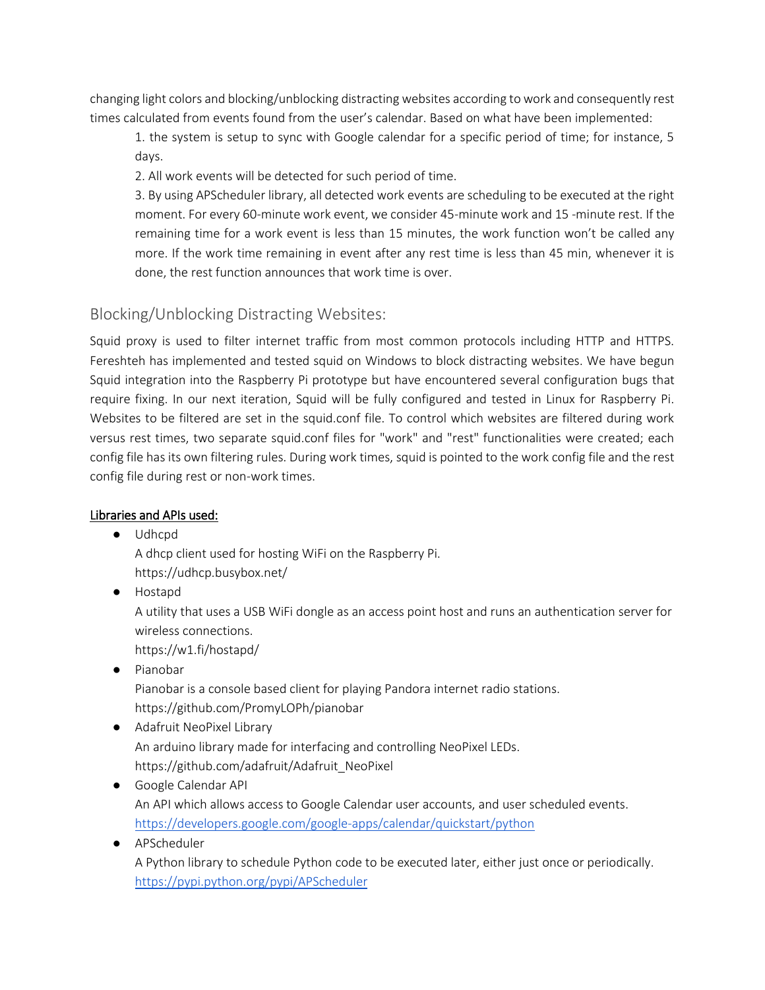changing light colors and blocking/unblocking distracting websites according to work and consequently rest times calculated from events found from the user's calendar. Based on what have been implemented:

1. the system is setup to sync with Google calendar for a specific period of time; for instance, 5 days.

2. All work events will be detected for such period of time.

3. By using APScheduler library, all detected work events are scheduling to be executed at the right moment. For every 60-minute work event, we consider 45-minute work and 15 -minute rest. If the remaining time for a work event is less than 15 minutes, the work function won't be called any more. If the work time remaining in event after any rest time is less than 45 min, whenever it is done, the rest function announces that work time is over.

## Blocking/Unblocking Distracting Websites:

Squid proxy is used to filter internet traffic from most common protocols including HTTP and HTTPS. Fereshteh has implemented and tested squid on Windows to block distracting websites. We have begun Squid integration into the Raspberry Pi prototype but have encountered several configuration bugs that require fixing. In our next iteration, Squid will be fully configured and tested in Linux for Raspberry Pi. Websites to be filtered are set in the squid.conf file. To control which websites are filtered during work versus rest times, two separate squid.conf files for "work" and "rest" functionalities were created; each config file has its own filtering rules. During work times, squid is pointed to the work config file and the rest config file during rest or non-work times.

#### Libraries and APIs used:

● Udhcpd

A dhcp client used for hosting WiFi on the Raspberry Pi. https://udhcp.busybox.net/

● Hostapd A utility that uses a USB WiFi dongle as an access point host and runs an authentication server for wireless connections.

https://w1.fi/hostapd/

- Pianobar Pianobar is a console based client for playing Pandora internet radio stations. https://github.com/PromyLOPh/pianobar
- Adafruit NeoPixel Library An arduino library made for interfacing and controlling NeoPixel LEDs. https://github.com/adafruit/Adafruit\_NeoPixel
- Google Calendar API An API which allows access to Google Calendar user accounts, and user scheduled events. <https://developers.google.com/google-apps/calendar/quickstart/python>
- APScheduler A Python library to schedule Python code to be executed later, either just once or periodically. <https://pypi.python.org/pypi/APScheduler>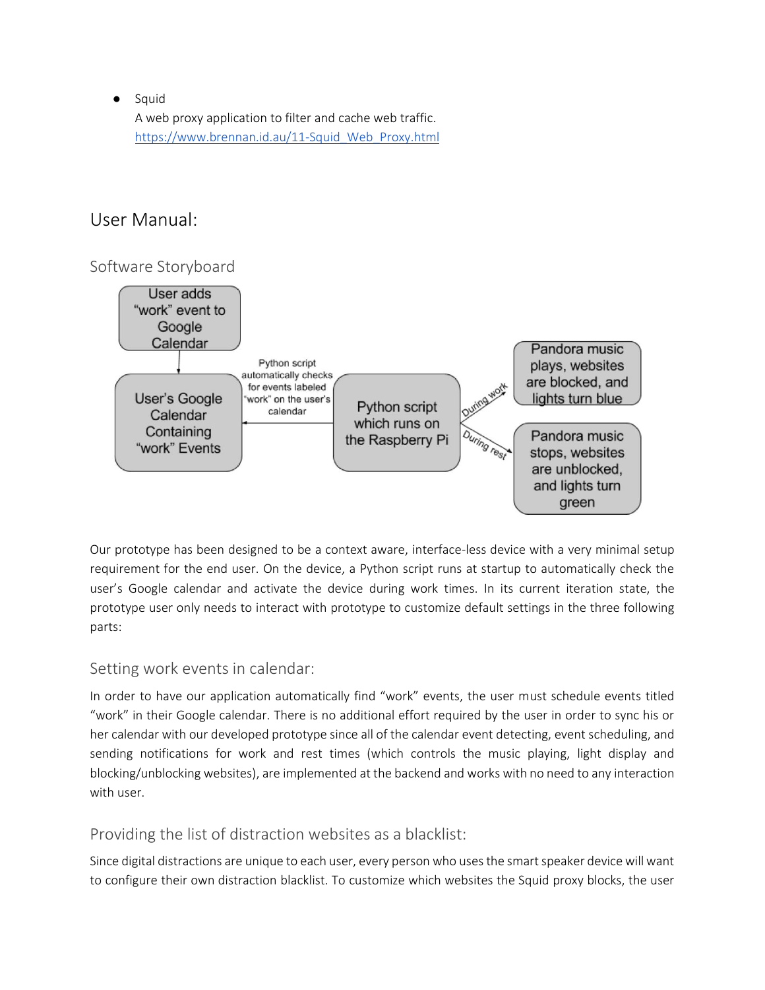● Squid

A web proxy application to filter and cache web traffic. [https://www.brennan.id.au/11-Squid\\_Web\\_Proxy.html](https://www.brennan.id.au/11-Squid_Web_Proxy.html)

# User Manual:

## Software Storyboard



Our prototype has been designed to be a context aware, interface-less device with a very minimal setup requirement for the end user. On the device, a Python script runs at startup to automatically check the user's Google calendar and activate the device during work times. In its current iteration state, the prototype user only needs to interact with prototype to customize default settings in the three following parts:

## Setting work events in calendar:

In order to have our application automatically find "work" events, the user must schedule events titled "work" in their Google calendar. There is no additional effort required by the user in order to sync his or her calendar with our developed prototype since all of the calendar event detecting, event scheduling, and sending notifications for work and rest times (which controls the music playing, light display and blocking/unblocking websites), are implemented at the backend and works with no need to any interaction with user.

## Providing the list of distraction websites as a blacklist:

Since digital distractions are unique to each user, every person who uses the smart speaker device will want to configure their own distraction blacklist. To customize which websites the Squid proxy blocks, the user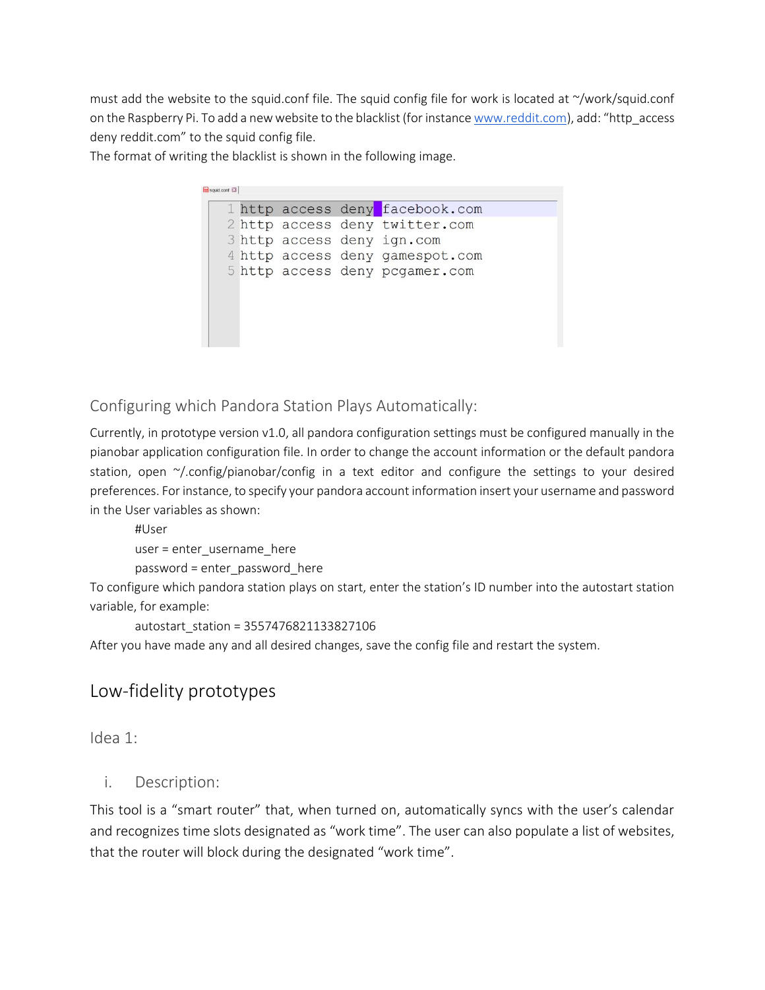must add the website to the squid.conf file. The squid config file for work is located at ~/work/squid.conf on the Raspberry Pi. To add a new website to the blacklist (for instanc[e www.reddit.com](http://www.reddit.com/)), add: "http\_access deny reddit.com" to the squid config file.

The format of writing the blacklist is shown in the following image.

| 2 http access deny twitter.com                                |  |  | 1 http access deny facebook.com |
|---------------------------------------------------------------|--|--|---------------------------------|
| 3 http access deny ign.com<br>4 http access deny gamespot.com |  |  |                                 |
|                                                               |  |  |                                 |
| 5 http access deny pcgamer.com                                |  |  |                                 |
|                                                               |  |  |                                 |
|                                                               |  |  |                                 |
|                                                               |  |  |                                 |

Configuring which Pandora Station Plays Automatically:

Currently, in prototype version v1.0, all pandora configuration settings must be configured manually in the pianobar application configuration file. In order to change the account information or the default pandora station, open ~/.config/pianobar/config in a text editor and configure the settings to your desired preferences. For instance, to specify your pandora account information insert your username and password in the User variables as shown:

```
#User
user = enter_username_here
password = enter_password_here
```
To configure which pandora station plays on start, enter the station's ID number into the autostart station variable, for example:

```
autostart_station = 3557476821133827106
```
After you have made any and all desired changes, save the config file and restart the system.

# Low-fidelity prototypes

Idea 1:

#### i. Description:

This tool is a "smart router" that, when turned on, automatically syncs with the user's calendar and recognizes time slots designated as "work time". The user can also populate a list of websites, that the router will block during the designated "work time".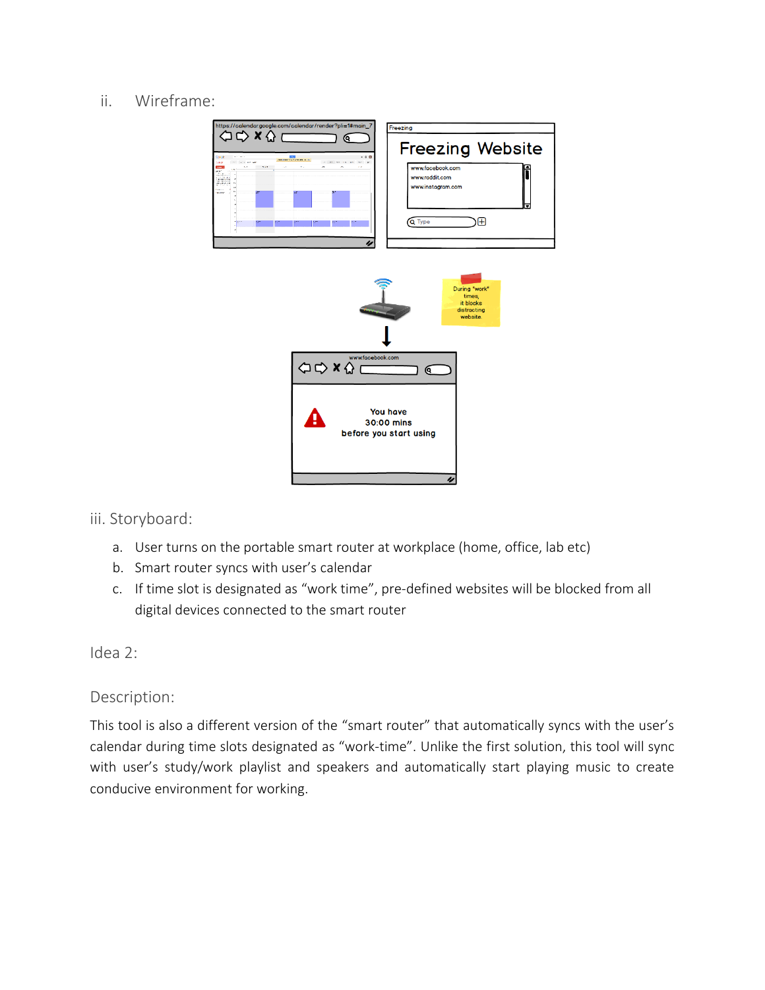## ii. Wireframe:



iii. Storyboard:

- a. User turns on the portable smart router at workplace (home, office, lab etc)
- b. Smart router syncs with user's calendar
- c. If time slot is designated as "work time", pre-defined websites will be blocked from all digital devices connected to the smart router

Idea 2:

## Description:

This tool is also a different version of the "smart router" that automatically syncs with the user's calendar during time slots designated as "work-time". Unlike the first solution, this tool will sync with user's study/work playlist and speakers and automatically start playing music to create conducive environment for working.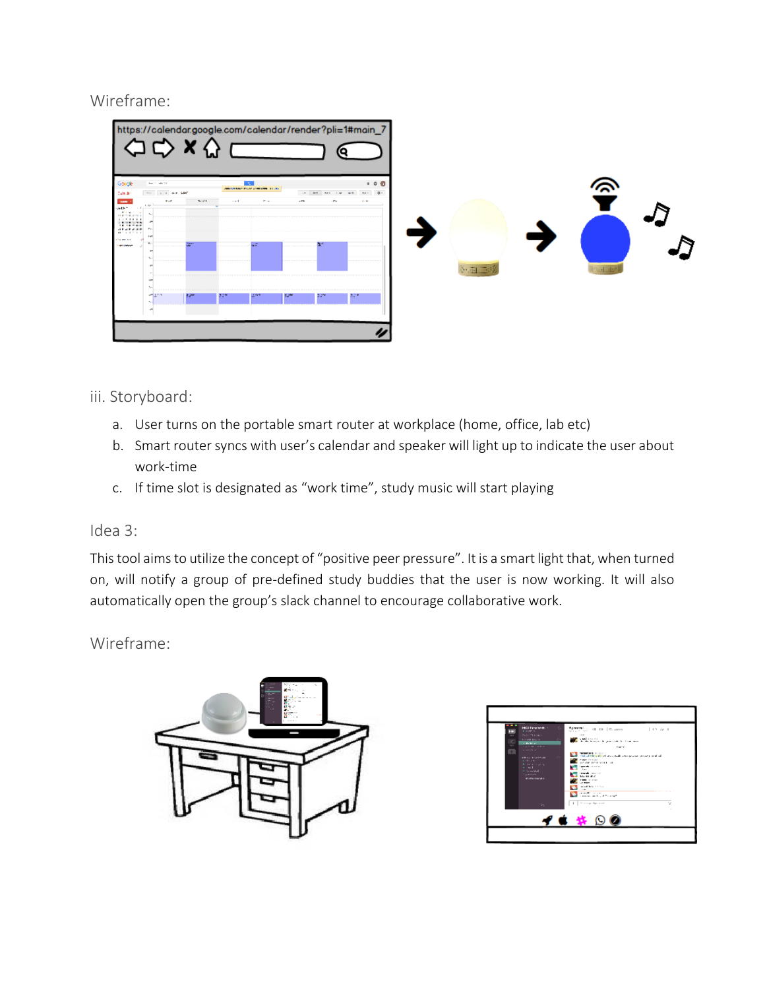# Wireframe:

|                                                                                                                                                                                              |                                                                                          | $\mathbf{y}$   |            |                                                 |        |                         | https://calendar.google.com/calendar/render?pli=1#main_7 |  |               |  |               |  |
|----------------------------------------------------------------------------------------------------------------------------------------------------------------------------------------------|------------------------------------------------------------------------------------------|----------------|------------|-------------------------------------------------|--------|-------------------------|----------------------------------------------------------|--|---------------|--|---------------|--|
| Google<br>Cam de                                                                                                                                                                             | <b>Back Collection</b><br>the top we can                                                 |                |            | and the<br>ARRESTS WAS SERVED FOR DWOL. TO JUST |        | $\cdots$ are the        | $-0.0$<br>$-4x - 0$<br>$-$                               |  |               |  |               |  |
| <b>SAMPLE</b><br><b>ALL T</b><br>$-1$<br>20100<br>100010-01010<br>.<br>$-0.119111114$<br>$18.18 - 115$<br><b>SEARANE</b> Pr<br>44.00.00.00<br><b><i>She was not</i></b><br><b>STATISTICS</b> | $\mathbf{r} = \mathbf{r}$<br>1.50<br>$\mathcal{L}_{\mathcal{A}}$<br>P-PT<br>$\mathbf{z}$ | <b>Service</b> | $\alpha=1$ | Police in<br>мĩ                                 | $-175$ | $\sim 100\, \mathrm{m}$ | <b>William</b>                                           |  |               |  |               |  |
|                                                                                                                                                                                              | 1.1<br>1m)<br>$\mathcal{R}_{\mathcal{F},\mathcal{F}}$<br>and Links                       | 4.45           |            | 5.47                                            | 12     | 2.17                    | 2,78                                                     |  | $8 - 74 - 76$ |  | $5 - 10^{11}$ |  |
|                                                                                                                                                                                              |                                                                                          |                |            |                                                 |        |                         |                                                          |  |               |  |               |  |

## iii. Storyboard:

- a. User turns on the portable smart router at workplace (home, office, lab etc)
- b. Smart router syncs with user's calendar and speaker will light up to indicate the user about work-time
- c. If time slot is designated as "work time", study music will start playing

## Idea 3:

This tool aims to utilize the concept of "positive peer pressure". It is a smart light that, when turned on, will notify a group of pre-defined study buddies that the user is now working. It will also automatically open the group's slack channel to encourage collaborative work.

Wireframe:



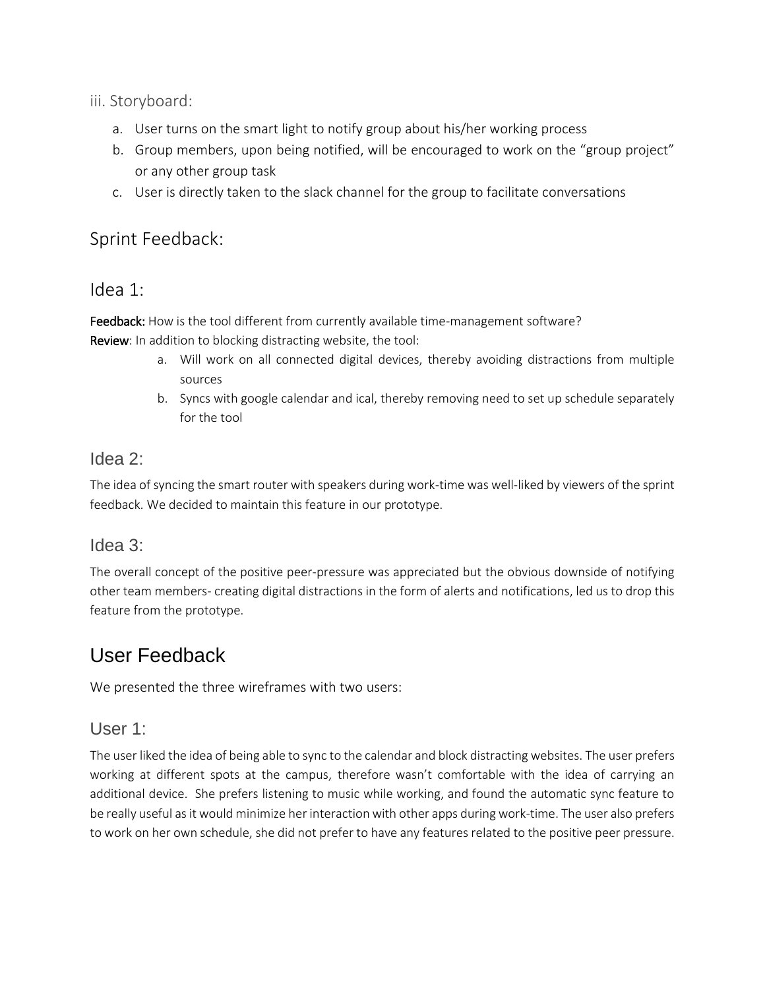iii. Storyboard:

- a. User turns on the smart light to notify group about his/her working process
- b. Group members, upon being notified, will be encouraged to work on the "group project" or any other group task
- c. User is directly taken to the slack channel for the group to facilitate conversations

# Sprint Feedback:

# Idea 1:

Feedback: How is the tool different from currently available time-management software? Review: In addition to blocking distracting website, the tool:

- a. Will work on all connected digital devices, thereby avoiding distractions from multiple sources
- b. Syncs with google calendar and ical, thereby removing need to set up schedule separately for the tool

# Idea 2:

The idea of syncing the smart router with speakers during work-time was well-liked by viewers of the sprint feedback. We decided to maintain this feature in our prototype.

## Idea 3:

The overall concept of the positive peer-pressure was appreciated but the obvious downside of notifying other team members- creating digital distractions in the form of alerts and notifications, led us to drop this feature from the prototype.

# User Feedback

We presented the three wireframes with two users:

# User 1:

The user liked the idea of being able to sync to the calendar and block distracting websites. The user prefers working at different spots at the campus, therefore wasn't comfortable with the idea of carrying an additional device. She prefers listening to music while working, and found the automatic sync feature to be really useful as it would minimize her interaction with other apps during work-time. The user also prefers to work on her own schedule, she did not prefer to have any features related to the positive peer pressure.